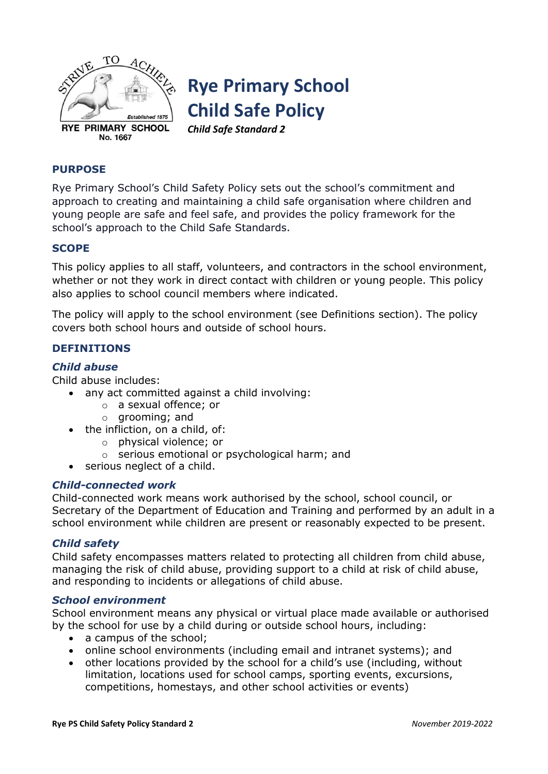

# **Rye Primary School Child Safe Policy**

*Child Safe Standard 2*

# **PURPOSE**

Rye Primary School's Child Safety Policy sets out the school's commitment and approach to creating and maintaining a child safe organisation where children and young people are safe and feel safe, and provides the policy framework for the school's approach to the Child Safe Standards.

# **SCOPE**

This policy applies to all staff, volunteers, and contractors in the school environment, whether or not they work in direct contact with children or young people. This policy also applies to school council members where indicated.

The policy will apply to the school environment (see Definitions section). The policy covers both school hours and outside of school hours.

# **DEFINITIONS**

## *Child abuse*

Child abuse includes:

- any act committed against a child involving:
	- o a sexual offence; or
	- o grooming; and
- $\bullet$  the infliction, on a child, of:
	- o physical violence; or
	- o serious emotional or psychological harm; and
- serious neglect of a child.

## *Child-connected work*

Child-connected work means work authorised by the school, school council, or Secretary of the Department of Education and Training and performed by an adult in a school environment while children are present or reasonably expected to be present.

## *Child safety*

Child safety encompasses matters related to protecting all children from child abuse, managing the risk of child abuse, providing support to a child at risk of child abuse, and responding to incidents or allegations of child abuse.

#### *School environment*

School environment means any physical or virtual place made available or authorised by the school for use by a child during or outside school hours, including:

- a campus of the school;
- online school environments (including email and intranet systems); and
- other locations provided by the school for a child's use (including, without limitation, locations used for school camps, sporting events, excursions, competitions, homestays, and other school activities or events)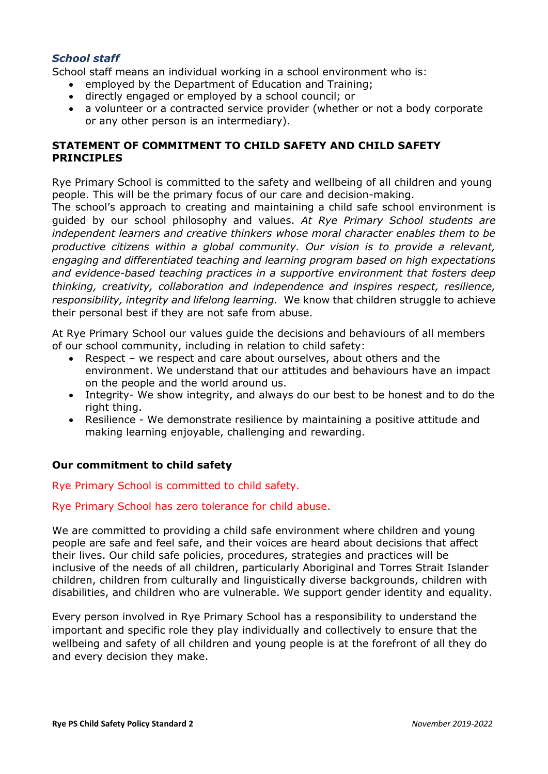# *School staff*

School staff means an individual working in a school environment who is:

- employed by the Department of Education and Training;
- directly engaged or employed by a school council; or
- a volunteer or a contracted service provider (whether or not a body corporate or any other person is an intermediary).

# **STATEMENT OF COMMITMENT TO CHILD SAFETY AND CHILD SAFETY PRINCIPLES**

Rye Primary School is committed to the safety and wellbeing of all children and young people. This will be the primary focus of our care and decision-making.

The school's approach to creating and maintaining a child safe school environment is guided by our school philosophy and values. *At Rye Primary School students are independent learners and creative thinkers whose moral character enables them to be productive citizens within a global community. Our vision is to provide a relevant, engaging and differentiated teaching and learning program based on high expectations and evidence-based teaching practices in a supportive environment that fosters deep thinking, creativity, collaboration and independence and inspires respect, resilience, responsibility, integrity and lifelong learning.* We know that children struggle to achieve their personal best if they are not safe from abuse.

At Rye Primary School our values guide the decisions and behaviours of all members of our school community, including in relation to child safety:

- Respect we respect and care about ourselves, about others and the environment. We understand that our attitudes and behaviours have an impact on the people and the world around us.
- Integrity- We show integrity, and always do our best to be honest and to do the right thing.
- Resilience We demonstrate resilience by maintaining a positive attitude and making learning enjoyable, challenging and rewarding.

# **Our commitment to child safety**

Rye Primary School is committed to child safety.

## Rye Primary School has zero tolerance for child abuse.

We are committed to providing a child safe environment where children and young people are safe and feel safe, and their voices are heard about decisions that affect their lives. Our child safe policies, procedures, strategies and practices will be inclusive of the needs of all children, particularly Aboriginal and Torres Strait Islander children, children from culturally and linguistically diverse backgrounds, children with disabilities, and children who are vulnerable. We support gender identity and equality.

Every person involved in Rye Primary School has a responsibility to understand the important and specific role they play individually and collectively to ensure that the wellbeing and safety of all children and young people is at the forefront of all they do and every decision they make.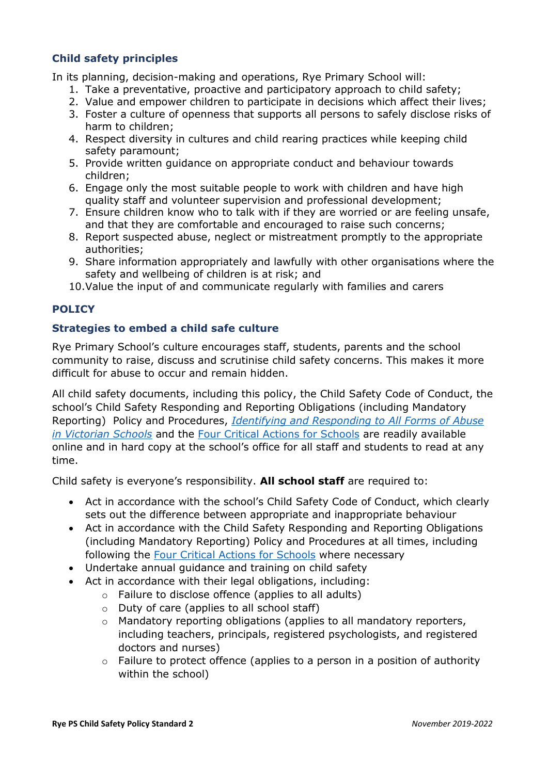# **Child safety principles**

In its planning, decision-making and operations, Rye Primary School will:

- 1. Take a preventative, proactive and participatory approach to child safety;
- 2. Value and empower children to participate in decisions which affect their lives;
- 3. Foster a culture of openness that supports all persons to safely disclose risks of harm to children;
- 4. Respect diversity in cultures and child rearing practices while keeping child safety paramount;
- 5. Provide written guidance on appropriate conduct and behaviour towards children;
- 6. Engage only the most suitable people to work with children and have high quality staff and volunteer supervision and professional development;
- 7. Ensure children know who to talk with if they are worried or are feeling unsafe, and that they are comfortable and encouraged to raise such concerns;
- 8. Report suspected abuse, neglect or mistreatment promptly to the appropriate authorities;
- 9. Share information appropriately and lawfully with other organisations where the safety and wellbeing of children is at risk; and

10.Value the input of and communicate regularly with families and carers

# **POLICY**

# **Strategies to embed a child safe culture**

Rye Primary School's culture encourages staff, students, parents and the school community to raise, discuss and scrutinise child safety concerns. This makes it more difficult for abuse to occur and remain hidden.

All child safety documents, including this policy, the Child Safety Code of Conduct, the school's Child Safety Responding and Reporting Obligations (including Mandatory Reporting) Policy and Procedures, *[Identifying and Responding to All Forms of Abuse](https://www.education.vic.gov.au/Documents/about/programs/health/protect/ChildSafeStandard5_SchoolsGuide.pdf)  [in Victorian Schools](https://www.education.vic.gov.au/Documents/about/programs/health/protect/ChildSafeStandard5_SchoolsGuide.pdf)* and the [Four Critical Actions for Schools](https://www.education.vic.gov.au/Documents/about/programs/health/protect/FourCriticalActions_ChildAbuse.pdf) are readily available online and in hard copy at the school's office for all staff and students to read at any time.

Child safety is everyone's responsibility. **All school staff** are required to:

- Act in accordance with the school's Child Safety Code of Conduct, which clearly sets out the difference between appropriate and inappropriate behaviour
- Act in accordance with the Child Safety Responding and Reporting Obligations (including Mandatory Reporting) Policy and Procedures at all times, including following the [Four Critical Actions for Schools](https://www.education.vic.gov.au/Documents/about/programs/health/protect/FourCriticalActions_ChildAbuse.pdf) where necessary
- Undertake annual guidance and training on child safety
- Act in accordance with their legal obligations, including:
	- o Failure to disclose offence (applies to all adults)
	- o Duty of care (applies to all school staff)
	- o Mandatory reporting obligations (applies to all mandatory reporters, including teachers, principals, registered psychologists, and registered doctors and nurses)
	- $\circ$  Failure to protect offence (applies to a person in a position of authority within the school)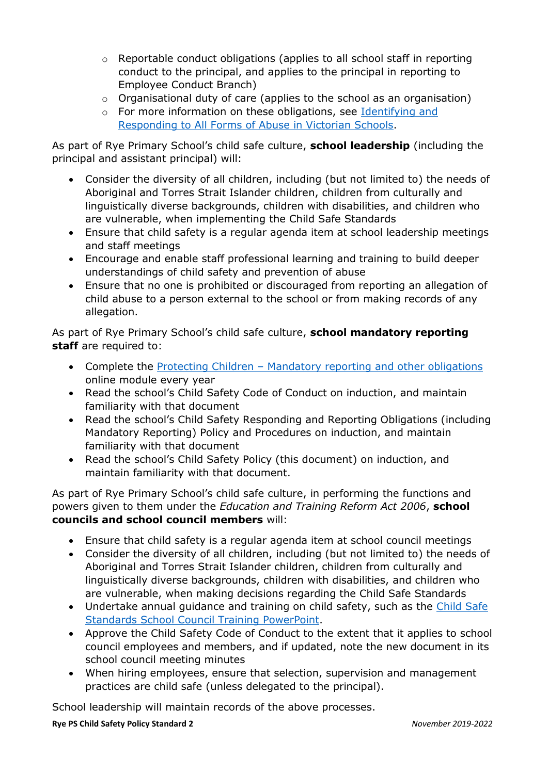- o Reportable conduct obligations (applies to all school staff in reporting conduct to the principal, and applies to the principal in reporting to Employee Conduct Branch)
- o Organisational duty of care (applies to the school as an organisation)
- o For more information on these obligations, see [Identifying and](https://www.education.vic.gov.au/Documents/about/programs/health/protect/ChildSafeStandard5_SchoolsGuide.pdf)  [Responding to All Forms of Abuse in Victorian Schools.](https://www.education.vic.gov.au/Documents/about/programs/health/protect/ChildSafeStandard5_SchoolsGuide.pdf)

As part of Rye Primary School's child safe culture, **school leadership** (including the principal and assistant principal) will:

- Consider the diversity of all children, including (but not limited to) the needs of Aboriginal and Torres Strait Islander children, children from culturally and linguistically diverse backgrounds, children with disabilities, and children who are vulnerable, when implementing the Child Safe Standards
- Ensure that child safety is a regular agenda item at school leadership meetings and staff meetings
- Encourage and enable staff professional learning and training to build deeper understandings of child safety and prevention of abuse
- Ensure that no one is prohibited or discouraged from reporting an allegation of child abuse to a person external to the school or from making records of any allegation.

As part of Rye Primary School's child safe culture, **school mandatory reporting staff** are required to:

- Complete the Protecting Children [Mandatory reporting and other obligations](http://elearn.com.au/det/protectingchildren/) online module every year
- Read the school's Child Safety Code of Conduct on induction, and maintain familiarity with that document
- Read the school's Child Safety Responding and Reporting Obligations (including Mandatory Reporting) Policy and Procedures on induction, and maintain familiarity with that document
- Read the school's Child Safety Policy (this document) on induction, and maintain familiarity with that document.

As part of Rye Primary School's child safe culture, in performing the functions and powers given to them under the *Education and Training Reform Act 2006*, **school councils and school council members** will:

- Ensure that child safety is a regular agenda item at school council meetings
- Consider the diversity of all children, including (but not limited to) the needs of Aboriginal and Torres Strait Islander children, children from culturally and linguistically diverse backgrounds, children with disabilities, and children who are vulnerable, when making decisions regarding the Child Safe Standards
- Undertake annual guidance and training on child safety, such as the Child Safe [Standards School Council Training PowerPoint.](https://www.education.vic.gov.au/Documents/about/programs/health/protect/school-council-training.pptx)
- Approve the Child Safety Code of Conduct to the extent that it applies to school council employees and members, and if updated, note the new document in its school council meeting minutes
- When hiring employees, ensure that selection, supervision and management practices are child safe (unless delegated to the principal).

School leadership will maintain records of the above processes.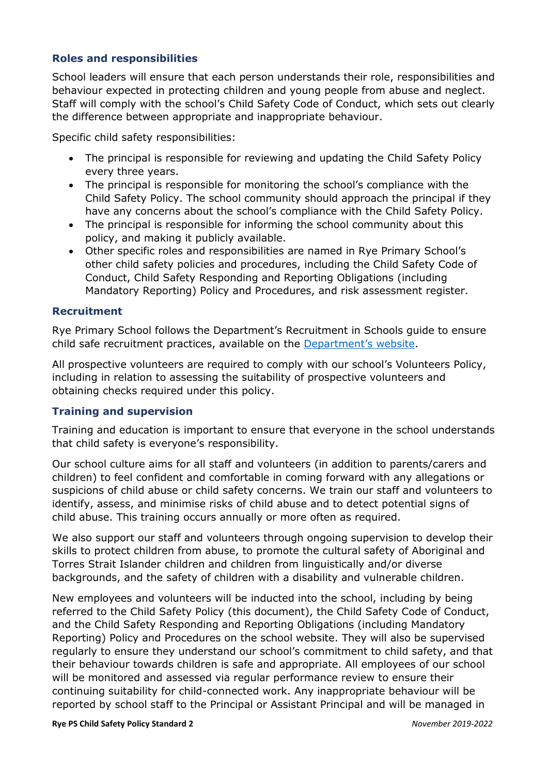# **Roles and responsibilities**

School leaders will ensure that each person understands their role, responsibilities and behaviour expected in protecting children and young people from abuse and neglect. Staff will comply with the school's Child Safety Code of Conduct, which sets out clearly the difference between appropriate and inappropriate behaviour.

Specific child safety responsibilities:

- The principal is responsible for reviewing and updating the Child Safety Policy every three years.
- The principal is responsible for monitoring the school's compliance with the Child Safety Policy. The school community should approach the principal if they have any concerns about the school's compliance with the Child Safety Policy.
- The principal is responsible for informing the school community about this policy, and making it publicly available.
- Other specific roles and responsibilities are named in Rye Primary School's other child safety policies and procedures, including the Child Safety Code of Conduct, Child Safety Responding and Reporting Obligations (including Mandatory Reporting) Policy and Procedures, and risk assessment register.

# **Recruitment**

Rye Primary School follows the Department's Recruitment in Schools guide to ensure child safe recruitment practices, available on the [Department's website](https://www.education.vic.gov.au/hrweb/careers/Pages/recruitinsch.aspx).

All prospective volunteers are required to comply with our school's Volunteers Policy, including in relation to assessing the suitability of prospective volunteers and obtaining checks required under this policy.

# **Training and supervision**

Training and education is important to ensure that everyone in the school understands that child safety is everyone's responsibility.

Our school culture aims for all staff and volunteers (in addition to parents/carers and children) to feel confident and comfortable in coming forward with any allegations or suspicions of child abuse or child safety concerns. We train our staff and volunteers to identify, assess, and minimise risks of child abuse and to detect potential signs of child abuse. This training occurs annually or more often as required.

We also support our staff and volunteers through ongoing supervision to develop their skills to protect children from abuse, to promote the cultural safety of Aboriginal and Torres Strait Islander children and children from linguistically and/or diverse backgrounds, and the safety of children with a disability and vulnerable children.

New employees and volunteers will be inducted into the school, including by being referred to the Child Safety Policy (this document), the Child Safety Code of Conduct, and the Child Safety Responding and Reporting Obligations (including Mandatory Reporting) Policy and Procedures on the school website. They will also be supervised regularly to ensure they understand our school's commitment to child safety, and that their behaviour towards children is safe and appropriate. All employees of our school will be monitored and assessed via regular performance review to ensure their continuing suitability for child-connected work. Any inappropriate behaviour will be reported by school staff to the Principal or Assistant Principal and will be managed in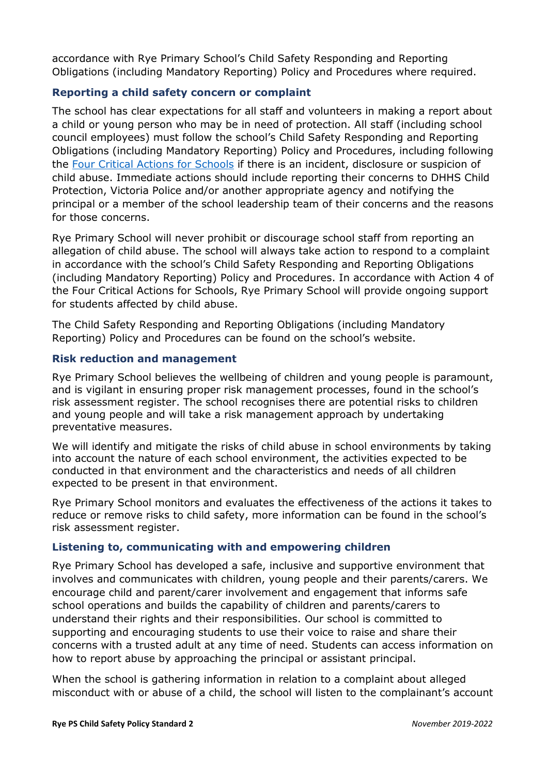accordance with Rye Primary School's Child Safety Responding and Reporting Obligations (including Mandatory Reporting) Policy and Procedures where required.

# **Reporting a child safety concern or complaint**

The school has clear expectations for all staff and volunteers in making a report about a child or young person who may be in need of protection. All staff (including school council employees) must follow the school's Child Safety Responding and Reporting Obligations (including Mandatory Reporting) Policy and Procedures, including following the [Four Critical Actions for Schools](https://www.education.vic.gov.au/Documents/about/programs/health/protect/FourCriticalActions_ChildAbuse.pdf) if there is an incident, disclosure or suspicion of child abuse. Immediate actions should include reporting their concerns to DHHS Child Protection, Victoria Police and/or another appropriate agency and notifying the principal or a member of the school leadership team of their concerns and the reasons for those concerns.

Rye Primary School will never prohibit or discourage school staff from reporting an allegation of child abuse. The school will always take action to respond to a complaint in accordance with the school's Child Safety Responding and Reporting Obligations (including Mandatory Reporting) Policy and Procedures. In accordance with Action 4 of the Four Critical Actions for Schools, Rye Primary School will provide ongoing support for students affected by child abuse.

The Child Safety Responding and Reporting Obligations (including Mandatory Reporting) Policy and Procedures can be found on the school's website.

# **Risk reduction and management**

Rye Primary School believes the wellbeing of children and young people is paramount, and is vigilant in ensuring proper risk management processes, found in the school's risk assessment register. The school recognises there are potential risks to children and young people and will take a risk management approach by undertaking preventative measures.

We will identify and mitigate the risks of child abuse in school environments by taking into account the nature of each school environment, the activities expected to be conducted in that environment and the characteristics and needs of all children expected to be present in that environment.

Rye Primary School monitors and evaluates the effectiveness of the actions it takes to reduce or remove risks to child safety, more information can be found in the school's risk assessment register.

## **Listening to, communicating with and empowering children**

Rye Primary School has developed a safe, inclusive and supportive environment that involves and communicates with children, young people and their parents/carers. We encourage child and parent/carer involvement and engagement that informs safe school operations and builds the capability of children and parents/carers to understand their rights and their responsibilities. Our school is committed to supporting and encouraging students to use their voice to raise and share their concerns with a trusted adult at any time of need. Students can access information on how to report abuse by approaching the principal or assistant principal.

When the school is gathering information in relation to a complaint about alleged misconduct with or abuse of a child, the school will listen to the complainant's account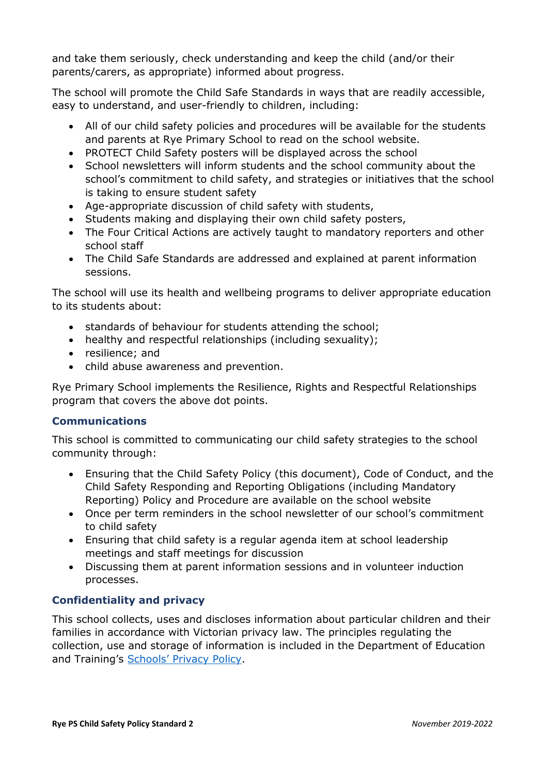and take them seriously, check understanding and keep the child (and/or their parents/carers, as appropriate) informed about progress.

The school will promote the Child Safe Standards in ways that are readily accessible, easy to understand, and user-friendly to children, including:

- All of our child safety policies and procedures will be available for the students and parents at Rye Primary School to read on the school website.
- PROTECT Child Safety posters will be displayed across the school
- School newsletters will inform students and the school community about the school's commitment to child safety, and strategies or initiatives that the school is taking to ensure student safety
- Age-appropriate discussion of child safety with students,
- Students making and displaying their own child safety posters,
- The Four Critical Actions are actively taught to mandatory reporters and other school staff
- The Child Safe Standards are addressed and explained at parent information sessions.

The school will use its health and wellbeing programs to deliver appropriate education to its students about:

- standards of behaviour for students attending the school;
- healthy and respectful relationships (including sexuality);
- resilience; and
- child abuse awareness and prevention.

Rye Primary School implements the Resilience, Rights and Respectful Relationships program that covers the above dot points.

# **Communications**

This school is committed to communicating our child safety strategies to the school community through:

- Ensuring that the Child Safety Policy (this document), Code of Conduct, and the Child Safety Responding and Reporting Obligations (including Mandatory Reporting) Policy and Procedure are available on the school website
- Once per term reminders in the school newsletter of our school's commitment to child safety
- Ensuring that child safety is a regular agenda item at school leadership meetings and staff meetings for discussion
- Discussing them at parent information sessions and in volunteer induction processes.

# **Confidentiality and privacy**

This school collects, uses and discloses information about particular children and their families in accordance with Victorian privacy law. The principles regulating the collection, use and storage of information is included in the Department of Education and Training's [Schools' Privacy Policy](https://www.education.vic.gov.au/Pages/schoolsprivacypolicy.aspx).